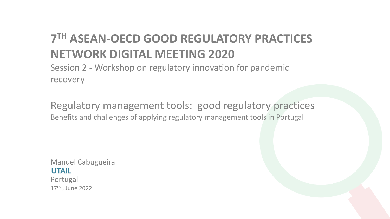# **7 TH ASEAN-OECD GOOD REGULATORY PRACTICES NETWORK DIGITAL MEETING 2020**

Session 2 - Workshop on regulatory innovation for pandemic recovery

Regulatory management tools: good regulatory practices Benefits and challenges of applying regulatory management tools in Portugal

Manuel Cabugueira **UTAIL** Portugal 17th , June 2022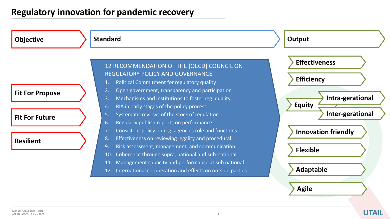## **Regulatory innovation for pandemic recovery**



**UTAIL**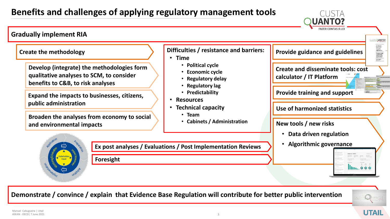# **Benefits and challenges of applying regulatory management tools**



**Demonstrate / convince / explain that Evidence Base Regulation will contribute for better public intervention** 



**UTAII** 

CUSTA